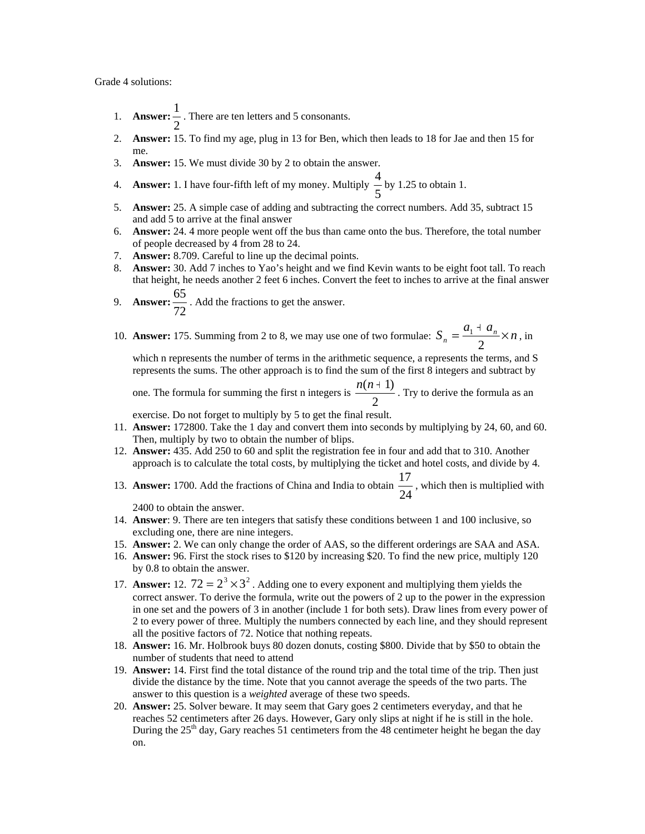Grade 4 solutions:

- 1. **Answer:**  $\frac{1}{2}$  $\frac{1}{x}$ . There are ten letters and 5 consonants.
- 2. **Answer:** 15. To find my age, plug in 13 for Ben, which then leads to 18 for Jae and then 15 for me.
- 3. **Answer:** 15. We must divide 30 by 2 to obtain the answer.
- 4. **Answer:** 1. I have four-fifth left of my money. Multiply  $\frac{1}{5}$  $\frac{4}{5}$  by 1.25 to obtain 1.
- 5. **Answer:** 25. A simple case of adding and subtracting the correct numbers. Add 35, subtract 15 and add 5 to arrive at the final answer
- 6. **Answer:** 24. 4 more people went off the bus than came onto the bus. Therefore, the total number of people decreased by 4 from 28 to 24.
- 7. **Answer:** 8.709. Careful to line up the decimal points.
- 8. **Answer:** 30. Add 7 inches to Yao's height and we find Kevin wants to be eight foot tall. To reach that height, he needs another 2 feet 6 inches. Convert the feet to inches to arrive at the final answer
- 9. **Answer:** 72  $\frac{65}{2}$ . Add the fractions to get the answer.
- 10. **Answer:** 175. Summing from 2 to 8, we may use one of two formulae:  $S_n = \frac{a_1 + a_n}{2} \times n$ , in

which n represents the number of terms in the arithmetic sequence, a represents the terms, and S represents the sums. The other approach is to find the sum of the first 8 integers and subtract by

one. The formula for summing the first n integers is  $\frac{2\pi\sqrt{3}}{2}$  $\frac{n(n+1)}{n}$ . Try to derive the formula as an

exercise. Do not forget to multiply by 5 to get the final result.

- 11. **Answer:** 172800. Take the 1 day and convert them into seconds by multiplying by 24, 60, and 60. Then, multiply by two to obtain the number of blips.
- 12. **Answer:** 435. Add 250 to 60 and split the registration fee in four and add that to 310. Another approach is to calculate the total costs, by multiplying the ticket and hotel costs, and divide by 4.
- 13. **Answer:** 1700. Add the fractions of China and India to obtain  $\frac{1}{24}$  $\frac{17}{11}$ , which then is multiplied with

2400 to obtain the answer.

- 14. **Answer**: 9. There are ten integers that satisfy these conditions between 1 and 100 inclusive, so excluding one, there are nine integers.
- 15. **Answer:** 2. We can only change the order of AAS, so the different orderings are SAA and ASA.
- 16. **Answer:** 96. First the stock rises to \$120 by increasing \$20. To find the new price, multiply 120 by 0.8 to obtain the answer.
- 17. **Answer:** 12.  $72 = 2^3 \times 3^2$ . Adding one to every exponent and multiplying them yields the correct answer. To derive the formula, write out the powers of 2 up to the power in the expression in one set and the powers of 3 in another (include 1 for both sets). Draw lines from every power of 2 to every power of three. Multiply the numbers connected by each line, and they should represent all the positive factors of 72. Notice that nothing repeats.
- 18. **Answer:** 16. Mr. Holbrook buys 80 dozen donuts, costing \$800. Divide that by \$50 to obtain the number of students that need to attend
- 19. **Answer:** 14. First find the total distance of the round trip and the total time of the trip. Then just divide the distance by the time. Note that you cannot average the speeds of the two parts. The answer to this question is a *weighted* average of these two speeds.
- 20. **Answer:** 25. Solver beware. It may seem that Gary goes 2 centimeters everyday, and that he reaches 52 centimeters after 26 days. However, Gary only slips at night if he is still in the hole. During the 25<sup>th</sup> day, Gary reaches 51 centimeters from the 48 centimeter height he began the day on.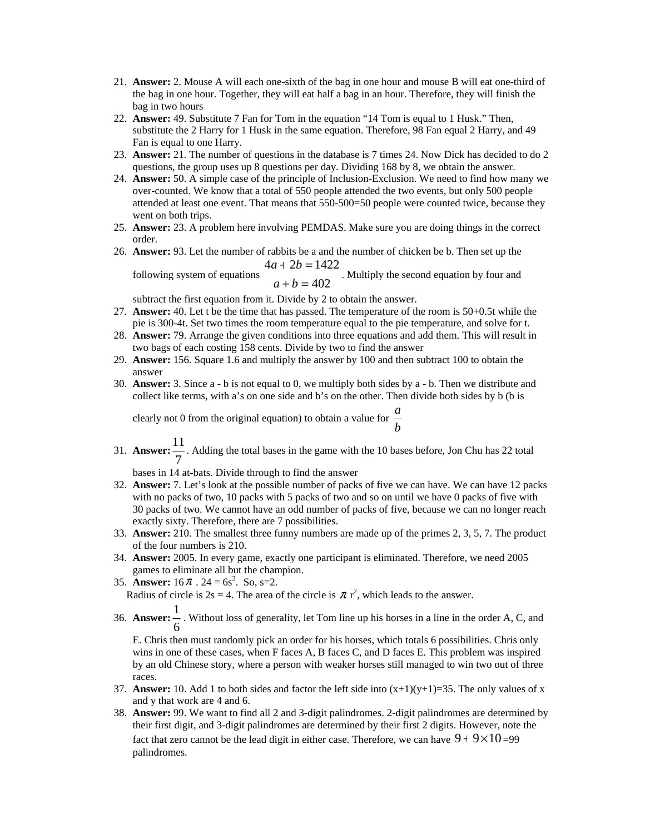- 21. **Answer:** 2. Mouse A will each one-sixth of the bag in one hour and mouse B will eat one-third of the bag in one hour. Together, they will eat half a bag in an hour. Therefore, they will finish the bag in two hours
- 22. **Answer:** 49. Substitute 7 Fan for Tom in the equation "14 Tom is equal to 1 Husk." Then, substitute the 2 Harry for 1 Husk in the same equation. Therefore, 98 Fan equal 2 Harry, and 49 Fan is equal to one Harry.
- 23. **Answer:** 21. The number of questions in the database is 7 times 24. Now Dick has decided to do 2 questions, the group uses up 8 questions per day. Dividing 168 by 8, we obtain the answer.
- 24. **Answer:** 50. A simple case of the principle of Inclusion-Exclusion. We need to find how many we over-counted. We know that a total of 550 people attended the two events, but only 500 people attended at least one event. That means that 550-500=50 people were counted twice, because they went on both trips.
- 25. **Answer:** 23. A problem here involving PEMDAS. Make sure you are doing things in the correct order.
- 26. **Answer:** 93. Let the number of rabbits be a and the number of chicken be b. Then set up the  $4a + 2b = 1422$  $+ 2b =$  $a + 2b$

following system of equations  $a+b=402$  $+ b =$  $a + b$ . Multiply the second equation by four and

subtract the first equation from it. Divide by 2 to obtain the answer.

- 27. **Answer:** 40. Let t be the time that has passed. The temperature of the room is 50+0.5t while the pie is 300-4t. Set two times the room temperature equal to the pie temperature, and solve for t.
- 28. **Answer:** 79. Arrange the given conditions into three equations and add them. This will result in two bags of each costing 158 cents. Divide by two to find the answer
- 29. **Answer:** 156. Square 1.6 and multiply the answer by 100 and then subtract 100 to obtain the answer
- 30. **Answer:** 3. Since a b is not equal to 0, we multiply both sides by a b. Then we distribute and collect like terms, with a's on one side and b's on the other. Then divide both sides by b (b is

clearly not 0 from the original equation) to obtain a value for  $\frac{a}{b}$ *a*

31. **Answer:**  $\frac{1}{7}$  $\frac{11}{x}$ . Adding the total bases in the game with the 10 bases before, Jon Chu has 22 total

bases in 14 at-bats. Divide through to find the answer

- 32. **Answer:** 7. Let's look at the possible number of packs of five we can have. We can have 12 packs with no packs of two, 10 packs with 5 packs of two and so on until we have 0 packs of five with 30 packs of two. We cannot have an odd number of packs of five, because we can no longer reach exactly sixty. Therefore, there are 7 possibilities.
- 33. **Answer:** 210. The smallest three funny numbers are made up of the primes 2, 3, 5, 7. The product of the four numbers is 210.
- 34. **Answer:** 2005. In every game, exactly one participant is eliminated. Therefore, we need 2005 games to eliminate all but the champion.
- 35. **Answer:**  $16 \pi$ .  $24 = 6s^2$ . So, s=2. Radius of circle is  $2s = 4$ . The area of the circle is  $\pi r^2$ , which leads to the answer.
	- 36. **Answer:** 6  $\frac{1}{1}$ . Without loss of generality, let Tom line up his horses in a line in the order A, C, and

E. Chris then must randomly pick an order for his horses, which totals 6 possibilities. Chris only wins in one of these cases, when F faces A, B faces C, and D faces E. This problem was inspired by an old Chinese story, where a person with weaker horses still managed to win two out of three races.

- 37. **Answer:** 10. Add 1 to both sides and factor the left side into  $(x+1)(y+1)=35$ . The only values of x and y that work are 4 and 6.
- 38. **Answer:** 99. We want to find all 2 and 3-digit palindromes. 2-digit palindromes are determined by their first digit, and 3-digit palindromes are determined by their first 2 digits. However, note the fact that zero cannot be the lead digit in either case. Therefore, we can have  $9 + 9 \times 10 = 99$ palindromes.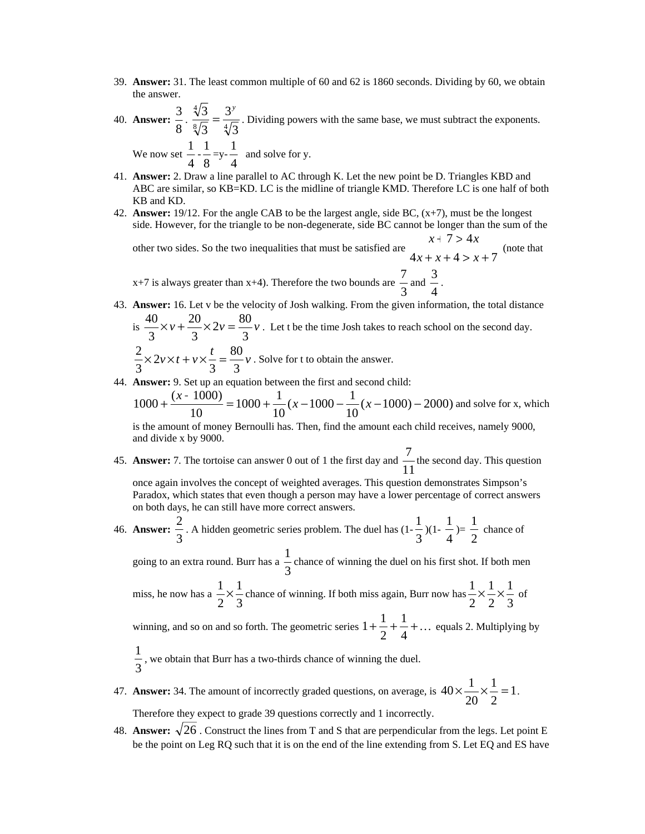- 39. **Answer:** 31. The least common multiple of 60 and 62 is 1860 seconds. Dividing by 60, we obtain the answer.
- 40. **Answer:**  $\frac{3}{8} \cdot \frac{\sqrt[4]{3}}{\sqrt[8]{3}} = \frac{3}{4}$ 3 3 3  $\frac{3}{5} = \frac{3^y}{\sqrt{2}}$ . Dividing powers with the same base, we must subtract the exponents. We now set  $\frac{1}{4}$  $\frac{1}{1}$ 8 1  $=y-\frac{1}{4}$  $\frac{1}{1}$  and solve for y.
- 41. **Answer:** 2. Draw a line parallel to AC through K. Let the new point be D. Triangles KBD and ABC are similar, so KB=KD. LC is the midline of triangle KMD. Therefore LC is one half of both KB and KD.
- 42. **Answer:** 19/12. For the angle CAB to be the largest angle, side BC, (x+7), must be the longest side. However, for the triangle to be non-degenerate, side BC cannot be longer than the sum of the

other two sides. So the two inequalities that must be satisfied are  $4x + x + 4 > x + 7$  (note that  $x + 7 > 4x$ 

 $x+7$  is always greater than  $x+4$ ). Therefore the two bounds are  $\frac{1}{3}$  $\frac{7}{3}$  and  $\frac{3}{4}$  $\frac{3}{2}$ .

43. **Answer:** 16. Let v be the velocity of Josh walking. From the given information, the total distance  $20$  $40$ 

is 
$$
\frac{40}{3} \times v + \frac{20}{3} \times 2v = \frac{80}{3} v
$$
. Let t be the time Josh takes to reach school on the second day.  
 $\frac{2}{3} \times 2v \times t + v \times \frac{t}{3} = \frac{80}{3} v$ . Solve for t to obtain the answer.

44. **Answer:** 9. Set up an equation between the first and second child:

$$
1000 + \frac{(x - 1000)}{10} = 1000 + \frac{1}{10}(x - 1000 - \frac{1}{10}(x - 1000) - 2000)
$$
 and solve for x, which  
is the amount of money Bernoulli has. Then, find the amount each child receives, namely 9000.

is the amount of money Bernoulli has. Then, find the amount each child receives, namely 9000, and divide x by 9000.

45. **Answer:** 7. The tortoise can answer 0 out of 1 the first day and  $\frac{7}{11}$  $\frac{7}{1}$  the second day. This question

once again involves the concept of weighted averages. This question demonstrates Simpson's Paradox, which states that even though a person may have a lower percentage of correct answers on both days, he can still have more correct answers.

46. **Answer:** 3  $\frac{2}{3}$ . A hidden geometric series problem. The duel has  $(1-\frac{1}{3})$  $\frac{1}{3}$ )(1- $\frac{1}{4}$ 1  $) = \frac{1}{2}$  $\frac{1}{1}$  chance of

going to an extra round. Burr has a  $\frac{1}{3}$  $\frac{1}{x}$  chance of winning the duel on his first shot. If both men

miss, he now has a 
$$
\frac{1}{2} \times \frac{1}{3}
$$
 chance of winning. If both miss again, Burr now has  $\frac{1}{2} \times \frac{1}{2} \times \frac{1}{3}$  of

winning, and so on and so forth. The geometric series  $1 + \frac{1}{2} + \frac{1}{4} + \dots$ 2  $1 + \frac{1}{2} + \frac{1}{4} + \dots$  equals 2. Multiplying by

3  $\frac{1}{x}$ , we obtain that Burr has a two-thirds chance of winning the duel.

47. **Answer:** 34. The amount of incorrectly graded questions, on average, is  $40 \times \frac{1}{20} \times \frac{1}{2} = 1$ 2 1 20  $40 \times \frac{1}{20} \times \frac{1}{2} = 1$ .

Therefore they expect to grade 39 questions correctly and 1 incorrectly.

48. **Answer:**  $\sqrt{26}$ . Construct the lines from T and S that are perpendicular from the legs. Let point E be the point on Leg RQ such that it is on the end of the line extending from S. Let EQ and ES have